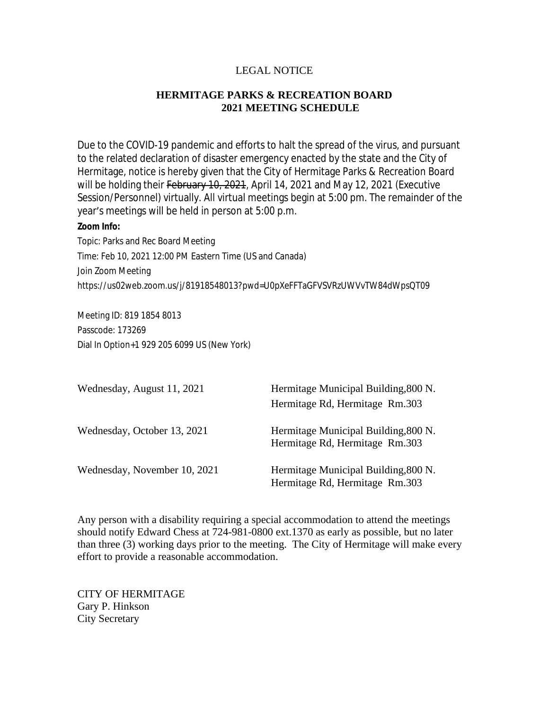## LEGAL NOTICE

## **HERMITAGE PARKS & RECREATION BOARD 2021 MEETING SCHEDULE**

Due to the COVID-19 pandemic and efforts to halt the spread of the virus, and pursuant to the related declaration of disaster emergency enacted by the state and the City of Hermitage, notice is hereby given that the City of Hermitage Parks & Recreation Board will be holding their February 10, 2021, April 14, 2021 and May 12, 2021 (Executive Session/Personnel) virtually. All virtual meetings begin at 5:00 pm. The remainder of the year's meetings will be held in person at 5:00 p.m.

## **Zoom Info:**

Topic: Parks and Rec Board Meeting Time: Feb 10, 2021 12:00 PM Eastern Time (US and Canada) Join Zoom Meeting https://us02web.zoom.us/j/81918548013?pwd=U0pXeFFTaGFVSVRzUWVvTW84dWpsQT09

Meeting ID: 819 1854 8013 Passcode: 173269 Dial In Option+1 929 205 6099 US (New York)

| Wednesday, August 11, 2021   | Hermitage Municipal Building, 800 N.<br>Hermitage Rd, Hermitage Rm.303 |
|------------------------------|------------------------------------------------------------------------|
| Wednesday, October 13, 2021  | Hermitage Municipal Building, 800 N.<br>Hermitage Rd, Hermitage Rm.303 |
| Wednesday, November 10, 2021 | Hermitage Municipal Building, 800 N.<br>Hermitage Rd, Hermitage Rm.303 |

Any person with a disability requiring a special accommodation to attend the meetings should notify Edward Chess at 724-981-0800 ext.1370 as early as possible, but no later than three (3) working days prior to the meeting. The City of Hermitage will make every effort to provide a reasonable accommodation.

CITY OF HERMITAGE Gary P. Hinkson City Secretary